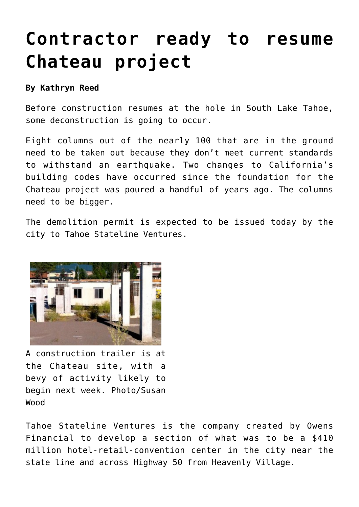## **[Contractor ready to resume](https://www.laketahoenews.net/2013/08/contractor-ready-to-resume-chateau-project/) [Chateau project](https://www.laketahoenews.net/2013/08/contractor-ready-to-resume-chateau-project/)**

## **By Kathryn Reed**

Before construction resumes at the hole in South Lake Tahoe, some deconstruction is going to occur.

Eight columns out of the nearly 100 that are in the ground need to be taken out because they don't meet current standards to withstand an earthquake. Two changes to California's building codes have occurred since the foundation for the Chateau project was poured a handful of years ago. The columns need to be bigger.

The demolition permit is expected to be issued today by the city to Tahoe Stateline Ventures.



A construction trailer is at the Chateau site, with a bevy of activity likely to begin next week. Photo/Susan Wood

Tahoe Stateline Ventures is the company created by Owens Financial to develop a section of what was to be a \$410 million hotel-retail-convention center in the city near the state line and across Highway 50 from Heavenly Village.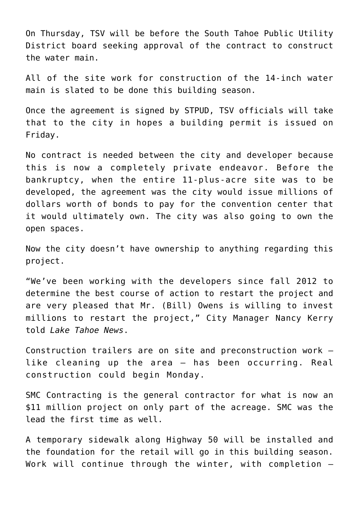On Thursday, TSV will be before the South Tahoe Public Utility District board seeking approval of the contract to construct the water main.

All of the site work for construction of the 14-inch water main is slated to be done this building season.

Once the agreement is signed by STPUD, TSV officials will take that to the city in hopes a building permit is issued on Friday.

No contract is needed between the city and developer because this is now a completely private endeavor. Before the bankruptcy, when the entire 11-plus-acre site was to be developed, the agreement was the city would issue millions of dollars worth of bonds to pay for the convention center that it would ultimately own. The city was also going to own the open spaces.

Now the city doesn't have ownership to anything regarding this project.

"We've been working with the developers since fall 2012 to determine the best course of action to restart the project and are very pleased that Mr. (Bill) Owens is willing to invest millions to restart the project," City Manager Nancy Kerry told *Lake Tahoe News*.

Construction trailers are on site and preconstruction work – like cleaning up the area – has been occurring. Real construction could begin Monday.

SMC Contracting is the general contractor for what is now an \$11 million project on only part of the acreage. SMC was the lead the first time as well.

A temporary sidewalk along Highway 50 will be installed and the foundation for the retail will go in this building season. Work will continue through the winter, with completion –